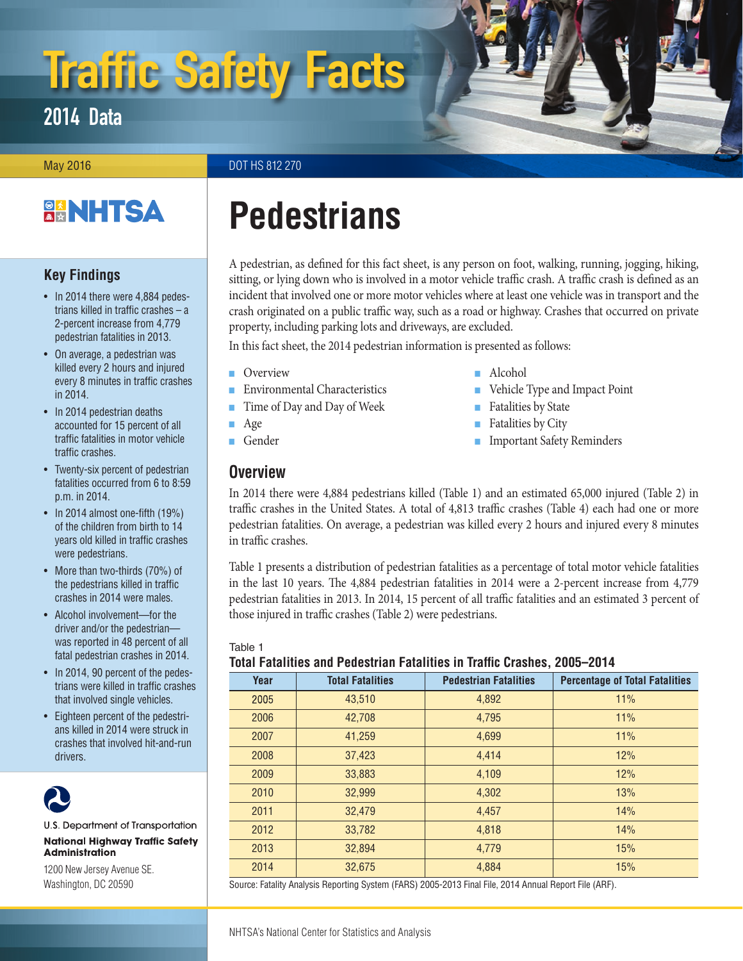# <span id="page-0-1"></span>Traffic Safety Facts

2014 Data

May 2016 **DOT HS 812 270** 

## **BANHTSA**

## **Key Findings**

- In 2014 there were 4,884 pedestrians killed in traffic crashes – a 2-percent increase from 4,779 pedestrian fatalities in 2013.
- On average, a pedestrian was killed every 2 hours and injured every 8 minutes in traffic crashes in 2014.
- In 2014 pedestrian deaths accounted for 15 percent of all traffic fatalities in motor vehicle traffic crashes.
- Twenty-six percent of pedestrian fatalities occurred from 6 to 8:59 p.m. in 2014.
- In 2014 almost one-fifth (19%) of the children from birth to 14 years old killed in traffic crashes were pedestrians.
- More than two-thirds (70%) of the pedestrians killed in traffic crashes in 2014 were males.
- Alcohol involvement—for the driver and/or the pedestrian was reported in 48 percent of all fatal pedestrian crashes in 2014.
- In 2014, 90 percent of the pedestrians were killed in traffic crashes that involved single vehicles.
- Eighteen percent of the pedestrians killed in 2014 were struck in crashes that involved hit-and-run drivers.



U.S. Department of Transportation **National Highway Traffic Safety Administration** 

1200 New Jersey Avenue SE. Washington, DC 20590

## **Pedestrians**

A pedestrian, as defined for this fact sheet, is any person on foot, walking, running, jogging, hiking, sitting, or lying down who is involved in a motor vehicle traffic crash. A traffic crash is defined as an incident that involved one or more motor vehicles where at least one vehicle was in transport and the crash originated on a public traffic way, such as a road or highway. Crashes that occurred on private property, including parking lots and driveways, are excluded.

In this fact sheet, the 2014 pedestrian information is presented as follows:

- [Overview](#page-0-0)
- [Environmental Characteristics](#page-1-0)
- [Time of Day and Day of Week](#page-1-1)
- [Age](#page-2-0)
- [Gender](#page-3-0)

## <span id="page-0-0"></span>**Overview**

- Alcohol
- [Vehicle Type and Impact Point](#page-6-0)
- [Fatalities by State](#page-6-1)
- [Fatalities by City](#page-8-0)
- [Important Safety Reminders](#page-9-0)

In 2014 there were 4,884 pedestrians killed (Table 1) and an estimated 65,000 injured (Table 2) in traffic crashes in the United States. A total of 4,813 traffic crashes (Table 4) each had one or more pedestrian fatalities. On average, a pedestrian was killed every 2 hours and injured every 8 minutes in traffic crashes.

Table 1 presents a distribution of pedestrian fatalities as a percentage of total motor vehicle fatalities in the last 10 years. The 4,884 pedestrian fatalities in 2014 were a 2-percent increase from 4,779 pedestrian fatalities in 2013. In 2014, 15 percent of all traffic fatalities and an estimated 3 percent of those injured in traffic crashes (Table 2) were pedestrians.

#### Table 1

#### **Total Fatalities and Pedestrian Fatalities in Traffic Crashes, 2005–2014**

| Year | <b>Total Fatalities</b> | <b>Pedestrian Fatalities</b> | <b>Percentage of Total Fatalities</b> |  |  |  |  |  |  |
|------|-------------------------|------------------------------|---------------------------------------|--|--|--|--|--|--|
| 2005 | 43,510                  | 4,892                        | 11%                                   |  |  |  |  |  |  |
| 2006 | 42,708                  | 4,795                        | 11%                                   |  |  |  |  |  |  |
| 2007 | 41,259                  | 4,699                        | 11%                                   |  |  |  |  |  |  |
| 2008 | 37,423                  | 4.414                        | 12%                                   |  |  |  |  |  |  |
| 2009 | 33,883                  | 4,109                        | 12%                                   |  |  |  |  |  |  |
| 2010 | 32,999                  | 4,302                        | 13%                                   |  |  |  |  |  |  |
| 2011 | 32,479                  | 4,457                        | 14%                                   |  |  |  |  |  |  |
| 2012 | 33,782                  | 4,818                        | 14%                                   |  |  |  |  |  |  |
| 2013 | 32,894                  | 4.779                        | 15%                                   |  |  |  |  |  |  |
| 2014 | 32,675                  | 4,884                        | 15%                                   |  |  |  |  |  |  |
|      |                         |                              |                                       |  |  |  |  |  |  |

Source: Fatality Analysis Reporting System (FARS) 2005-2013 Final File, 2014 Annual Report File (ARF).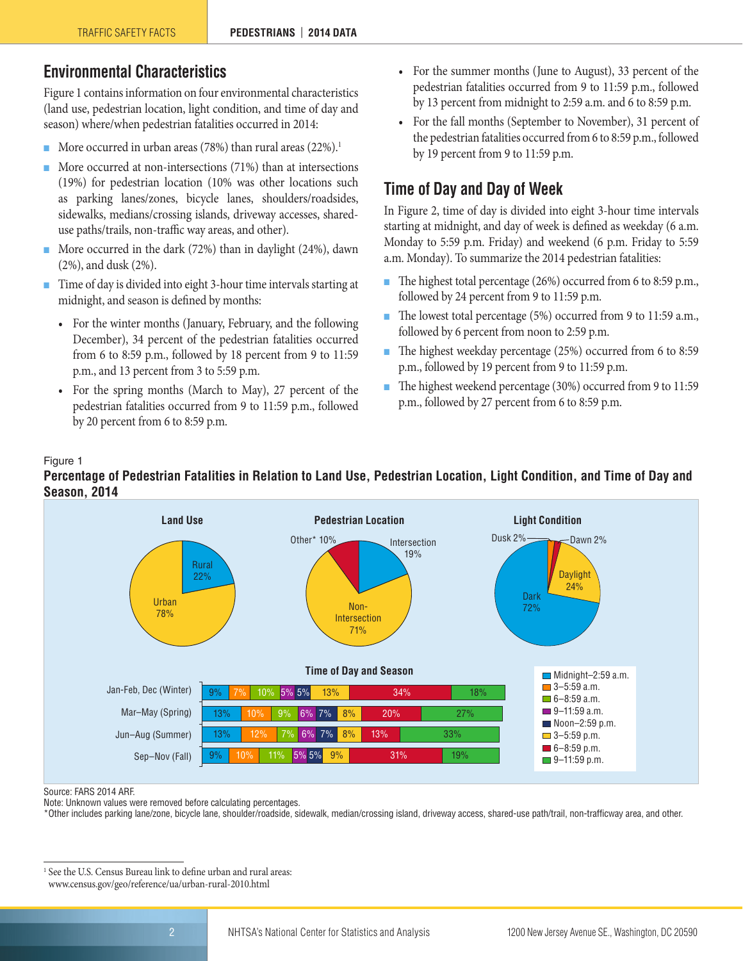## <span id="page-1-0"></span>**Environmental Characteristics**

Figure 1 contains information on four environmental characteristics (land use, pedestrian location, light condition, and time of day and season) where/when pedestrian fatalities occurred in 2014:

- More occurred in urban areas (78%) than rural areas (22%).<sup>1</sup>
- More occurred at non-intersections (71%) than at intersections (19%) for pedestrian location (10% was other locations such as parking lanes/zones, bicycle lanes, shoulders/roadsides, sidewalks, medians/crossing islands, driveway accesses, shareduse paths/trails, non-traffic way areas, and other).
- More occurred in the dark (72%) than in daylight (24%), dawn (2%), and dusk (2%).
- Time of day is divided into eight 3-hour time intervals starting at midnight, and season is defined by months:
	- For the winter months (January, February, and the following December), 34 percent of the pedestrian fatalities occurred from 6 to 8:59 p.m., followed by 18 percent from 9 to 11:59 p.m., and 13 percent from 3 to 5:59 p.m.
	- For the spring months (March to May), 27 percent of the pedestrian fatalities occurred from 9 to 11:59 p.m., followed by 20 percent from 6 to 8:59 p.m.
- For the summer months (June to August), 33 percent of the pedestrian fatalities occurred from 9 to 11:59 p.m., followed by 13 percent from midnight to 2:59 a.m. and 6 to 8:59 p.m.
- For the fall months (September to November), 31 percent of the pedestrian fatalities occurred from 6 to 8:59 p.m., followed by 19 percent from 9 to 11:59 p.m.

## <span id="page-1-1"></span>**Time of Day and Day of Week**

In Figure 2, time of day is divided into eight 3-hour time intervals starting at midnight, and day of week is defined as weekday (6 a.m. Monday to 5:59 p.m. Friday) and weekend (6 p.m. Friday to 5:59 a.m. Monday). To summarize the 2014 pedestrian fatalities:

- The highest total percentage (26%) occurred from 6 to 8:59 p.m., followed by 24 percent from 9 to 11:59 p.m.
- The lowest total percentage (5%) occurred from 9 to 11:59 a.m., followed by 6 percent from noon to 2:59 p.m.
- The highest weekday percentage (25%) occurred from 6 to 8:59 p.m., followed by 19 percent from 9 to 11:59 p.m.
- The highest weekend percentage (30%) occurred from 9 to 11:59 p.m., followed by 27 percent from 6 to 8:59 p.m.

#### Figure 1

#### **Percentage of Pedestrian Fatalities in Relation to Land Use, Pedestrian Location, Light Condition, and Time of Day and Season, 2014**



Source: FARS 2014 ARF.

Note: Unknown values were removed before calculating percentages.

\*Other includes parking lane/zone, bicycle lane, shoulder/roadside, sidewalk, median/crossing island, driveway access, shared-use path/trail, non-trafficway area, and other.

<sup>&</sup>lt;sup>1</sup> See the U.S. Census Bureau link to define urban and rural areas: [www.census.gov/geo/reference/ua/urban-rural-2010.html](http://www.census.gov/geo/reference/ua/urban-rural-2010.html)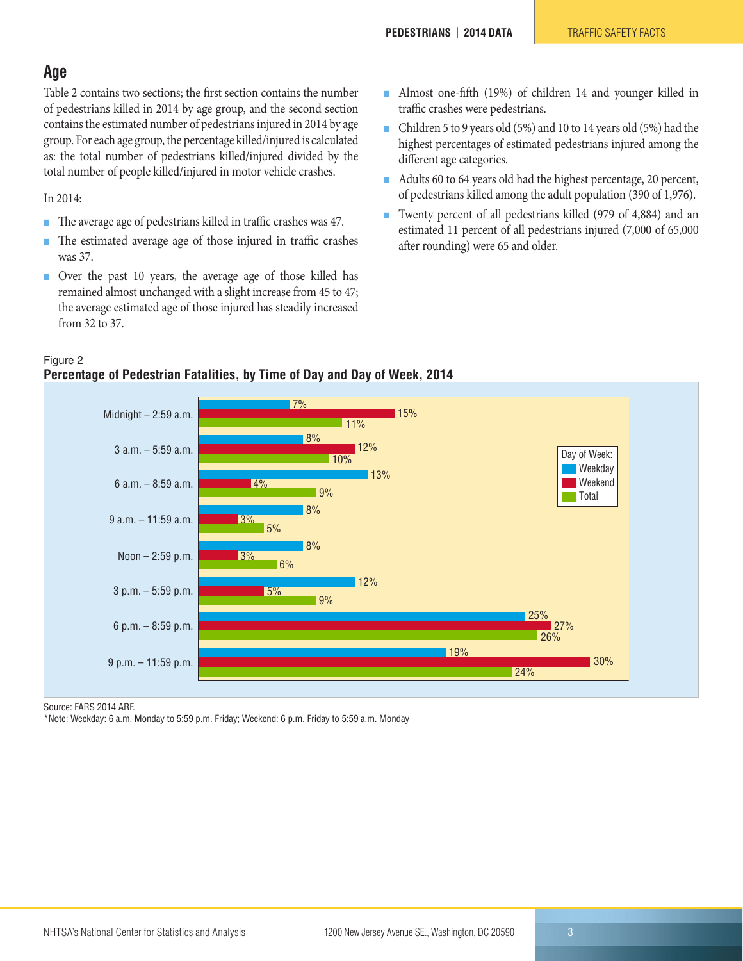## <span id="page-2-0"></span>**Age**

Table 2 contains two sections; the first section contains the number of pedestrians killed in 2014 by age group, and the second section contains the estimated number of pedestrians injured in 2014 by age group. For each age group, the percentage killed/injured is calculated as: the total number of pedestrians killed/injured divided by the total number of people killed/injured in motor vehicle crashes.

In 2014:

- The average age of pedestrians killed in traffic crashes was 47.
- The estimated average age of those injured in traffic crashes was 37.
- Over the past 10 years, the average age of those killed has remained almost unchanged with a slight increase from 45 to 47; the average estimated age of those injured has steadily increased from 32 to 37.
- Almost one-fifth (19%) of children 14 and younger killed in traffic crashes were pedestrians.
- Children 5 to 9 years old (5%) and 10 to 14 years old (5%) had the highest percentages of estimated pedestrians injured among the different age categories.
- Adults 60 to 64 years old had the highest percentage, 20 percent, of pedestrians killed among the adult population (390 of 1,976).
- Twenty percent of all pedestrians killed (979 of 4,884) and an estimated 11 percent of all pedestrians injured (7,000 of 65,000 after rounding) were 65 and older.

#### Figure 2 **Percentage of Pedestrian Fatalities, by Time of Day and Day of Week, 2014**



Source: FARS 2014 ARF.

\*Note: Weekday: 6 a.m. Monday to 5:59 p.m. Friday; Weekend: 6 p.m. Friday to 5:59 a.m. Monday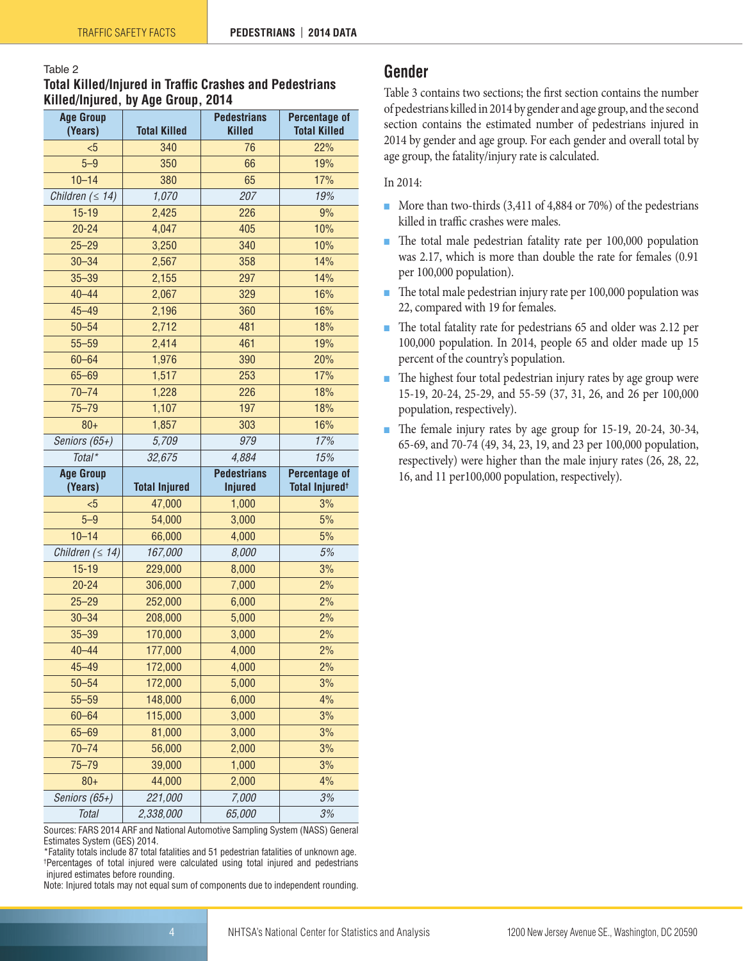#### Table 2 **Total Killed/Injured in Traffic Crashes and Pedestrians Killed/Injured, by Age Group, 2014**

| <b>Age Group</b><br>(Years) | <b>Total Killed</b>  | <b>Pedestrians</b><br><b>Killed</b> | <b>Percentage of</b><br><b>Total Killed</b> |
|-----------------------------|----------------------|-------------------------------------|---------------------------------------------|
| $5$                         | 340                  | 76                                  | 22%                                         |
| $5 - 9$                     | 350                  | 66                                  | 19%                                         |
| $10 - 14$                   | 380                  | 65                                  | 17%                                         |
|                             | 1,070                | 207                                 | 19%                                         |
| Children $( \leq 14)$       |                      | 226                                 | 9%                                          |
| $15 - 19$<br>$20 - 24$      | 2,425                |                                     |                                             |
| $25 - 29$                   | 4,047                | 405                                 | 10%                                         |
|                             | 3,250                | 340                                 | 10%                                         |
| $30 - 34$                   | 2,567                | 358                                 | 14%                                         |
| $35 - 39$                   | 2,155                | 297                                 | 14%                                         |
| $40 - 44$                   | 2,067                | 329                                 | 16%                                         |
| $45 - 49$                   | 2,196                | 360                                 | 16%                                         |
| $50 - 54$                   | 2,712                | 481                                 | 18%                                         |
| $55 - 59$                   | 2,414                | 461                                 | 19%                                         |
| $60 - 64$                   | 1,976                | 390                                 | 20%                                         |
| $65 - 69$                   | 1,517                | 253                                 | 17%                                         |
| $70 - 74$                   | 1,228                | 226                                 | 18%                                         |
| $75 - 79$                   | 1,107                | 197                                 | 18%                                         |
| $80 +$                      | 1,857                | 303                                 | 16%                                         |
| Seniors (65+)               | 5,709                | 979                                 | 17%                                         |
| Total*                      | 32,675               | 4,884                               | 15%                                         |
|                             |                      |                                     |                                             |
| <b>Age Group</b>            |                      | <b>Pedestrians</b>                  | Percentage of                               |
| (Years)                     | <b>Total Injured</b> | <b>Injured</b>                      | Total Injured <sup>+</sup>                  |
| $5$                         | 47,000               | 1,000                               | 3%                                          |
| $5 - 9$                     | 54,000               | 3,000                               | 5%                                          |
| $10 - 14$                   | 66,000               | 4,000                               | 5%                                          |
| Children $( \leq 14)$       | 167,000              | 8,000                               | 5%                                          |
| $15 - 19$                   | 229,000              | 8,000                               | 3%                                          |
| $20 - 24$                   | 306,000              | 7,000                               | 2%                                          |
| $25 - 29$                   | 252,000              | 6,000                               | 2%                                          |
| $30 - 34$                   | 208,000              | 5,000                               | 2%                                          |
| $35 - 39$                   | 170,000              | 3,000                               | 2%                                          |
| $40 - 44$                   | 177,000              | 4,000                               | 2%                                          |
| $45 - 49$                   | 172,000              | 4,000                               | 2%                                          |
| $50 - 54$                   | 172,000              | 5,000                               | 3%                                          |
| $55 - 59$                   | 148,000              | 6,000                               | 4%                                          |
| $60 - 64$                   | 115,000              | 3,000                               | 3%                                          |
| $65 - 69$                   | 81,000               | 3,000                               | 3%                                          |
| $70 - 74$                   | 56,000               | 2,000                               | 3%                                          |
| $75 - 79$                   | 39,000               | 1,000                               | 3%                                          |
| $80+$                       | 44,000               | 2,000                               | 4%                                          |
| Seniors (65+)               | 221,000              | 7,000                               | 3%                                          |

Sources: FARS 2014 ARF and National Automotive Sampling System (NASS) General Estimates System (GES) 2014.

\*Fatality totals include 87 total fatalities and 51 pedestrian fatalities of unknown age. † Percentages of total injured were calculated using total injured and pedestrians injured estimates before rounding.

Note: Injured totals may not equal sum of components due to independent rounding.

## <span id="page-3-0"></span>**Gender**

Table 3 contains two sections; the first section contains the number of pedestrians killed in 2014 by gender and age group, and the second section contains the estimated number of pedestrians injured in 2014 by gender and age group. For each gender and overall total by age group, the fatality/injury rate is calculated.

#### In 2014:

- More than two-thirds (3,411 of 4,884 or 70%) of the pedestrians killed in traffic crashes were males.
- The total male pedestrian fatality rate per 100,000 population was 2.17, which is more than double the rate for females (0.91 per 100,000 population).
- The total male pedestrian injury rate per 100,000 population was 22, compared with 19 for females.
- The total fatality rate for pedestrians 65 and older was 2.12 per 100,000 population. In 2014, people 65 and older made up 15 percent of the country's population.
- The highest four total pedestrian injury rates by age group were 15-19, 20-24, 25-29, and 55-59 (37, 31, 26, and 26 per 100,000 population, respectively).
- The female injury rates by age group for 15-19, 20-24, 30-34, 65-69, and 70-74 (49, 34, 23, 19, and 23 per 100,000 population, respectively) were higher than the male injury rates (26, 28, 22, 16, and 11 per100,000 population, respectively).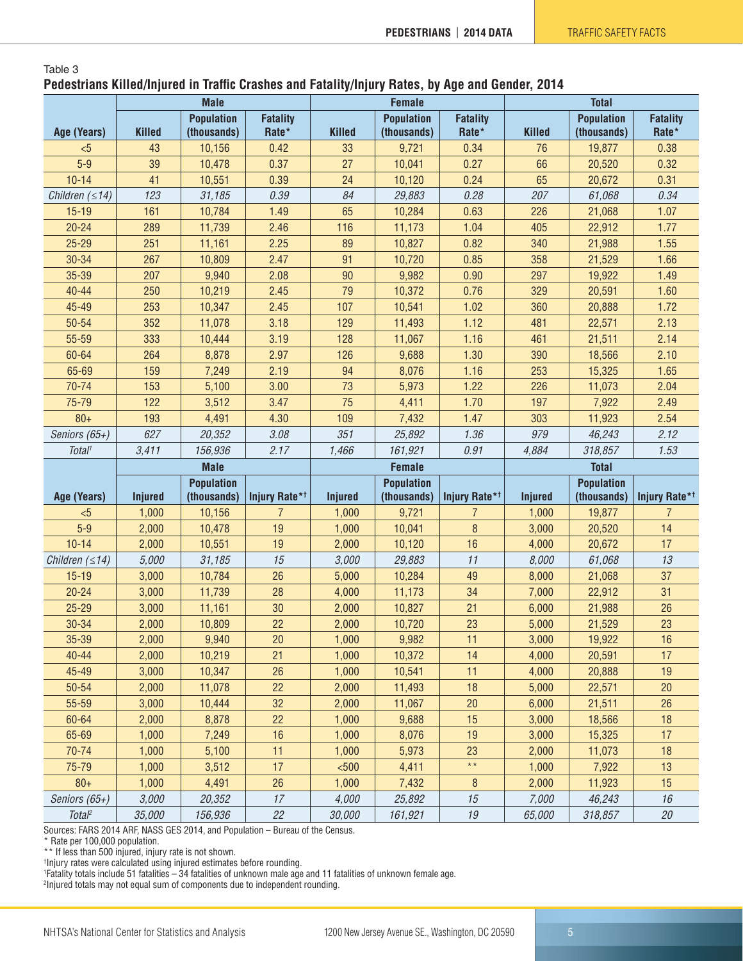#### Table 3 **Pedestrians Killed/Injured in Traffic Crashes and Fatality/Injury Rates, by Age and Gender, 2014**

|                       | <b>Male</b>    |                   |                           |                | <b>Female</b>     |                           | <b>Total</b>   |                   |                           |  |
|-----------------------|----------------|-------------------|---------------------------|----------------|-------------------|---------------------------|----------------|-------------------|---------------------------|--|
|                       |                | <b>Population</b> | <b>Fatality</b>           |                | <b>Population</b> | <b>Fatality</b>           |                | <b>Population</b> | <b>Fatality</b>           |  |
| Age (Years)           | <b>Killed</b>  | (thousands)       | Rate*                     | <b>Killed</b>  | (thousands)       | Rate*                     | <b>Killed</b>  | (thousands)       | Rate*                     |  |
| < 5                   | 43             | 10,156            | 0.42                      | 33             | 9,721             | 0.34                      | 76             | 19,877            | 0.38                      |  |
| $5-9$                 | 39             | 10,478            | 0.37                      | 27             | 10,041            | 0.27                      | 66             | 20,520            | 0.32                      |  |
| $10 - 14$             | 41             | 10,551            | 0.39                      | 24             | 10,120            | 0.24                      | 65             | 20,672            | 0.31                      |  |
| Children $( \leq 14)$ | 123            | 31,185            | 0.39                      | 84             | 29,883            | 0.28                      | 207            | 61,068            | 0.34                      |  |
| $15 - 19$             | 161            | 10,784            | 1.49                      | 65             | 10,284            | 0.63                      | 226            | 21,068            | 1.07                      |  |
| $20 - 24$             | 289            | 11,739            | 2.46                      | 116            | 11,173            | 1.04                      | 405            | 22,912            | 1.77                      |  |
| $25 - 29$             | 251            | 11,161            | 2.25                      | 89             | 10,827            | 0.82                      | 340            | 21,988            | 1.55                      |  |
| 30-34                 | 267            | 10,809            | 2.47                      | 91             | 10,720            | 0.85                      | 358            | 21,529            | 1.66                      |  |
| 35-39                 | 207            | 9,940             | 2.08                      | 90             | 9,982             | 0.90                      | 297            | 19,922            | 1.49                      |  |
| $40 - 44$             | 250            | 10,219            | 2.45                      | 79             | 10,372            | 0.76                      | 329            | 20,591            | 1.60                      |  |
| 45-49                 | 253            | 10,347            | 2.45                      | 107            | 10,541            | 1.02                      | 360            | 20,888            | 1.72                      |  |
| 50-54                 | 352            | 11,078            | 3.18                      | 129            | 11,493            | 1.12                      | 481            | 22,571            | 2.13                      |  |
| 55-59                 | 333            | 10,444            | 3.19                      | 128            | 11,067            | 1.16                      | 461            | 21,511            | 2.14                      |  |
| 60-64                 | 264            | 8,878             | 2.97                      | 126            | 9,688             | 1.30                      | 390            | 18,566            | 2.10                      |  |
| 65-69                 | 159            | 7,249             | 2.19                      | 94             | 8,076             | 1.16                      | 253            | 15,325            | 1.65                      |  |
| 70-74                 | 153            | 5,100             | 3.00                      | 73             | 5,973             | 1.22                      | 226            | 11,073            | 2.04                      |  |
| 75-79                 | 122            | 3,512             | 3.47                      | 75             | 4,411             | 1.70                      | 197            | 7,922             | 2.49                      |  |
| $80 +$                | 193            | 4,491             | 4.30                      | 109            | 7,432             | 1.47                      | 303            | 11,923            | 2.54                      |  |
| Seniors (65+)         | 627            | 20,352            | 3.08                      | 351            | 25,892            | 1.36                      | 979            | 46,243            | 2.12                      |  |
| Total <sup>1</sup>    | 3,411          | 156,936           | 2.17                      | 1,466          | 161,921           | 0.91                      | 4,884          | 318,857           | 1.53                      |  |
|                       |                |                   |                           |                |                   |                           |                |                   |                           |  |
|                       |                | <b>Male</b>       |                           |                | <b>Female</b>     |                           |                | <b>Total</b>      |                           |  |
|                       |                | <b>Population</b> |                           |                | <b>Population</b> |                           |                | <b>Population</b> |                           |  |
| Age (Years)           | <b>Injured</b> | (thousands)       | Injury Rate* <sup>†</sup> | <b>Injured</b> | (thousands)       | Injury Rate* <sup>†</sup> | <b>Injured</b> | (thousands)       | Injury Rate* <sup>†</sup> |  |
| $5$                   | 1,000          | 10,156            | $\overline{7}$            | 1,000          | 9,721             | $\overline{7}$            | 1,000          | 19,877            | $\overline{7}$            |  |
| $5-9$                 | 2,000          | 10,478            | 19                        | 1,000          | 10,041            | 8                         | 3,000          | 20,520            | 14                        |  |
| $10 - 14$             | 2,000          | 10,551            | 19                        | 2,000          | 10,120            | 16                        | 4,000          | 20,672            | 17                        |  |
| Children $( \leq 14)$ | 5,000          | 31,185            | 15                        | 3,000          | 29,883            | 11                        | 8,000          | 61,068            | 13                        |  |
| $15 - 19$             | 3,000          | 10,784            | 26                        | 5,000          | 10,284            | 49                        | 8,000          | 21,068            | 37                        |  |
| $20 - 24$             | 3,000          | 11,739            | 28                        | 4,000          | 11,173            | 34                        | 7,000          | 22,912            | 31                        |  |
| $25 - 29$             | 3,000          | 11,161            | 30                        | 2,000          | 10,827            | 21                        | 6,000          | 21,988            | 26                        |  |
| 30-34                 | 2,000          | 10,809            | 22                        | 2,000          | 10,720            | 23                        | 5,000          | 21,529            | 23                        |  |
| 35-39                 | 2,000          | 9,940             | 20                        | 1,000          | 9,982             | 11                        | 3,000          | 19,922            | 16                        |  |
| $40 - 44$             | 2,000          | 10,219            | 21                        | 1,000          | 10,372            | 14                        | 4,000          | 20,591            | 17                        |  |
| 45-49                 | 3,000          | 10,347            | 26                        | 1,000          | 10,541            | 11                        | 4,000          | 20,888            | 19                        |  |
| 50-54                 | 2,000          | 11,078            | 22                        | 2,000          | 11,493            | 18                        | 5,000          | 22,571            | 20                        |  |
| 55-59                 | 3,000          | 10,444            | 32                        | 2,000          | 11,067            | 20                        | 6,000          | 21,511            | 26                        |  |
| 60-64                 | 2,000          | 8,878             | 22                        | 1,000          | 9,688             | 15                        | 3,000          | 18,566            | 18                        |  |
| 65-69                 | 1,000          | 7,249             | 16                        | 1,000          | 8,076             | 19                        | 3,000          | 15,325            | 17                        |  |
| 70-74                 | 1,000          | 5,100             | 11                        | 1,000          | 5,973             | 23                        | 2,000          | 11,073            | 18                        |  |
| 75-79                 | 1,000          | 3,512             | 17                        | $500$          | 4,411             | $\star\,\star$            | 1,000          | 7,922             | 13                        |  |
| $80 +$                | 1,000          | 4,491             | 26                        | 1,000          | 7,432             | 8                         | 2,000          | 11,923            | 15                        |  |
| Seniors (65+)         | 3,000          | 20,352            | 17                        | 4,000          | 25,892            | 15                        | 7,000          | 46,243            | 16                        |  |

Sources: FARS 2014 ARF, NASS GES 2014, and Population – Bureau of the Census.

\* Rate per 100,000 population.

\*\* If less than 500 injured, injury rate is not shown.

† Injury rates were calculated using injured estimates before rounding. 1 Fatality totals include 51 fatalities – 34 fatalities of unknown male age and 11 fatalities of unknown female age.

2 Injured totals may not equal sum of components due to independent rounding.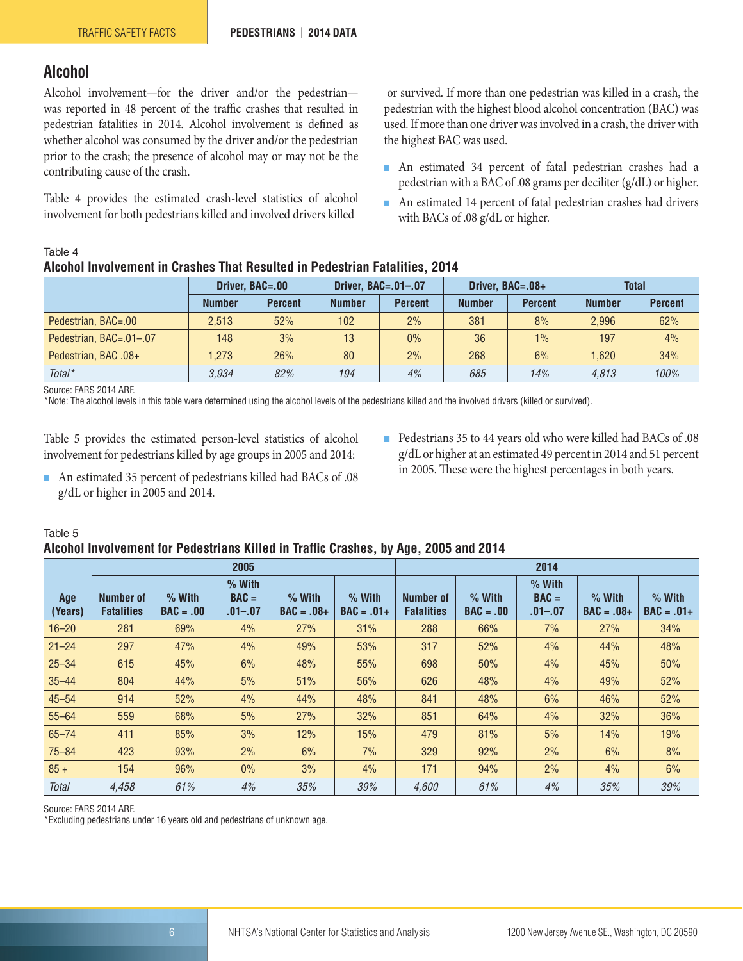## <span id="page-5-0"></span>**Alcohol**

Alcohol involvement—for the driver and/or the pedestrian was reported in 48 percent of the traffic crashes that resulted in pedestrian fatalities in 2014. Alcohol involvement is defined as whether alcohol was consumed by the driver and/or the pedestrian prior to the crash; the presence of alcohol may or may not be the contributing cause of the crash.

Table 4 provides the estimated crash-level statistics of alcohol involvement for both pedestrians killed and involved drivers killed

 or survived. If more than one pedestrian was killed in a crash, the pedestrian with the highest blood alcohol concentration (BAC) was used. If more than one driver was involved in a crash, the driver with the highest BAC was used.

- An estimated 34 percent of fatal pedestrian crashes had a pedestrian with a BAC of .08 grams per deciliter (g/dL) or higher.
- An estimated 14 percent of fatal pedestrian crashes had drivers with BACs of .08 g/dL or higher.

#### Table 4

## **Alcohol Involvement in Crashes That Resulted in Pedestrian Fatalities, 2014**

|                         | Driver, BAC=.00 |                | Driver, BAC=.01-.07 |                |               | Driver, BAC=.08+ | <b>Total</b>  |                |  |
|-------------------------|-----------------|----------------|---------------------|----------------|---------------|------------------|---------------|----------------|--|
|                         | <b>Number</b>   | <b>Percent</b> | <b>Number</b>       | <b>Percent</b> | <b>Number</b> | <b>Percent</b>   | <b>Number</b> | <b>Percent</b> |  |
| Pedestrian, BAC=.00     | 2.513           | 52%            | 102                 | 2%             | 381           | 8%               | 2.996         | 62%            |  |
| Pedestrian, BAC=.01-.07 | 148             | 3%             | 13                  | $0\%$          | 36            | 1%               | 197           | 4%             |  |
| Pedestrian, BAC .08+    | 1.273           | 26%            | 80                  | 2%             | 268           | 6%               | 1.620         | 34%            |  |
| $Total*$                | 3.934           | 82%            | 194                 | 4%             | 685           | 14%              | 4.813         | 100%           |  |

Source: FARS 2014 ARF.

\*Note: The alcohol levels in this table were determined using the alcohol levels of the pedestrians killed and the involved drivers (killed or survived).

Table 5 provides the estimated person-level statistics of alcohol involvement for pedestrians killed by age groups in 2005 and 2014:

- Pedestrians 35 to 44 years old who were killed had BACs of .08 g/dL or higher at an estimated 49 percent in 2014 and 51 percent in 2005. These were the highest percentages in both years.
- An estimated 35 percent of pedestrians killed had BACs of .08 g/dL or higher in 2005 and 2014.
- Table 5

#### **Alcohol Involvement for Pedestrians Killed in Traffic Crashes, by Age, 2005 and 2014**

|                | 2005                           |                         |                                    |                          |                          |                                | 2014                    |                                |                          |                          |  |
|----------------|--------------------------------|-------------------------|------------------------------------|--------------------------|--------------------------|--------------------------------|-------------------------|--------------------------------|--------------------------|--------------------------|--|
| Age<br>(Years) | Number of<br><b>Fatalities</b> | $%$ With<br>$BAC = .00$ | $%$ With<br>$BAC =$<br>$.01 - .07$ | $%$ With<br>$BAC = .08+$ | $%$ With<br>$BAC = .01+$ | Number of<br><b>Fatalities</b> | $%$ With<br>$BAC = .00$ | $%$ With<br>$BAC =$<br>.01–.07 | $%$ With<br>$BAC = .08+$ | $%$ With<br>$BAC = .01+$ |  |
| $16 - 20$      | 281                            | 69%                     | 4%                                 | 27%                      | 31%                      | 288                            | 66%                     | 7%                             | 27%                      | 34%                      |  |
| $21 - 24$      | 297                            | 47%                     | 4%                                 | 49%                      | 53%                      | 317                            | 52%                     | 4%                             | 44%                      | 48%                      |  |
| $25 - 34$      | 615                            | 45%                     | 6%                                 | 48%                      | 55%                      | 698                            | 50%                     | 4%                             | 45%                      | 50%                      |  |
| $35 - 44$      | 804                            | 44%                     | 5%                                 | 51%                      | 56%                      | 626                            | 48%                     | 4%                             | 49%                      | 52%                      |  |
| $45 - 54$      | 914                            | 52%                     | 4%                                 | 44%                      | 48%                      | 841                            | 48%                     | 6%                             | 46%                      | 52%                      |  |
| $55 - 64$      | 559                            | 68%                     | 5%                                 | 27%                      | 32%                      | 851                            | 64%                     | 4%                             | 32%                      | 36%                      |  |
| $65 - 74$      | 411                            | 85%                     | 3%                                 | 12%                      | 15%                      | 479                            | 81%                     | 5%                             | 14%                      | 19%                      |  |
| $75 - 84$      | 423                            | 93%                     | 2%                                 | 6%                       | 7%                       | 329                            | 92%                     | 2%                             | 6%                       | 8%                       |  |
| $85 +$         | 154                            | 96%                     | $0\%$                              | 3%                       | 4%                       | 171                            | 94%                     | 2%                             | 4%                       | 6%                       |  |
| <b>Total</b>   | 4.458                          | 61%                     | 4%                                 | 35%                      | 39%                      | 4.600                          | 61%                     | 4%                             | 35%                      | 39%                      |  |

Source: FARS 2014 ARF.

\*Excluding pedestrians under 16 years old and pedestrians of unknown age.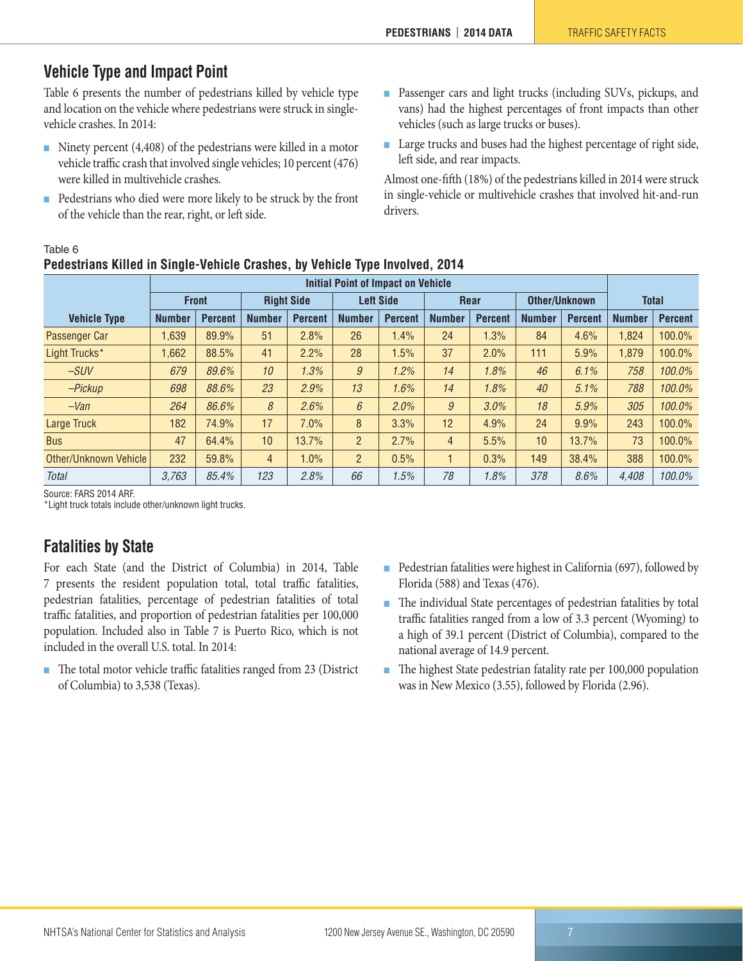## <span id="page-6-0"></span>**Vehicle Type and Impact Point**

Table 6 presents the number of pedestrians killed by vehicle type and location on the vehicle where pedestrians were struck in singlevehicle crashes. In 2014:

- Ninety percent (4,408) of the pedestrians were killed in a motor vehicle traffic crash that involved single vehicles; 10 percent (476) were killed in multivehicle crashes.
- Pedestrians who died were more likely to be struck by the front of the vehicle than the rear, right, or left side.

**Pedestrians Killed in Single-Vehicle Crashes, by Vehicle Type Involved, 2014**

- Passenger cars and light trucks (including SUVs, pickups, and vans) had the highest percentages of front impacts than other vehicles (such as large trucks or buses).
- Large trucks and buses had the highest percentage of right side, left side, and rear impacts.

Almost one-fifth (18%) of the pedestrians killed in 2014 were struck in single-vehicle or multivehicle crashes that involved hit-and-run drivers.

| , ouvoniumo kinou in omigio volnolo oruonoo, sy volnolo typo mvolvou, eo i t |                                           |                |                   |                |                  |                |                |                |                      |                |               |                |
|------------------------------------------------------------------------------|-------------------------------------------|----------------|-------------------|----------------|------------------|----------------|----------------|----------------|----------------------|----------------|---------------|----------------|
|                                                                              | <b>Initial Point of Impact on Vehicle</b> |                |                   |                |                  |                |                |                |                      |                |               |                |
|                                                                              |                                           | <b>Front</b>   | <b>Right Side</b> |                | <b>Left Side</b> |                | <b>Rear</b>    |                | <b>Other/Unknown</b> |                | <b>Total</b>  |                |
| <b>Vehicle Type</b>                                                          | <b>Number</b>                             | <b>Percent</b> | <b>Number</b>     | <b>Percent</b> | <b>Number</b>    | <b>Percent</b> | <b>Number</b>  | <b>Percent</b> | <b>Number</b>        | <b>Percent</b> | <b>Number</b> | <b>Percent</b> |
| Passenger Car                                                                | 1,639                                     | 89.9%          | 51                | 2.8%           | 26               | 1.4%           | 24             | 1.3%           | 84                   | 4.6%           | 1,824         | 100.0%         |
| Light Trucks*                                                                | ,662                                      | 88.5%          | 41                | 2.2%           | 28               | 1.5%           | 37             | 2.0%           | 111                  | 5.9%           | 1,879         | 100.0%         |
| $-SUV$                                                                       | 679                                       | 89.6%          | 10                | 1.3%           | $\mathfrak g$    | 1.2%           | 14             | 1.8%           | 46                   | 6.1%           | 758           | 100.0%         |
| -Pickup                                                                      | 698                                       | 88.6%          | 23                | 2.9%           | 13               | 1.6%           | 14             | 1.8%           | 40                   | 5.1%           | 788           | 100.0%         |
| $-Van$                                                                       | 264                                       | 86.6%          | 8                 | 2.6%           | 6                | 2.0%           | 9              | 3.0%           | 18                   | 5.9%           | 305           | 100.0%         |
| Large Truck                                                                  | 182                                       | 74.9%          | 17                | 7.0%           | 8                | 3.3%           | 12             | 4.9%           | 24                   | 9.9%           | 243           | 100.0%         |
| <b>Bus</b>                                                                   | 47                                        | 64.4%          | 10                | 13.7%          | $\overline{2}$   | 2.7%           | $\overline{4}$ | 5.5%           | 10                   | 13.7%          | 73            | 100.0%         |
| Other/Unknown Vehicle                                                        | 232                                       | 59.8%          | $\overline{4}$    | 1.0%           | $\overline{2}$   | 0.5%           |                | 0.3%           | 149                  | 38.4%          | 388           | 100.0%         |
| <b>Total</b>                                                                 | 3.763                                     | 85.4%          | 123               | 2.8%           | 66               | 1.5%           | 78             | 1.8%           | 378                  | 8.6%           | 4,408         | 100.0%         |

Source: FARS 2014 ARF.

Table 6

\*Light truck totals include other/unknown light trucks.

## <span id="page-6-1"></span>**Fatalities by State**

For each State (and the District of Columbia) in 2014, Table 7 presents the resident population total, total traffic fatalities, pedestrian fatalities, percentage of pedestrian fatalities of total traffic fatalities, and proportion of pedestrian fatalities per 100,000 population. Included also in Table 7 is Puerto Rico, which is not included in the overall U.S. total. In 2014:

- The total motor vehicle traffic fatalities ranged from 23 (District of Columbia) to 3,538 (Texas).
- Pedestrian fatalities were highest in California (697), followed by Florida (588) and Texas (476).
- The individual State percentages of pedestrian fatalities by total traffic fatalities ranged from a low of 3.3 percent (Wyoming) to a high of 39.1 percent (District of Columbia), compared to the national average of 14.9 percent.
- The highest State pedestrian fatality rate per 100,000 population was in New Mexico (3.55), followed by Florida (2.96).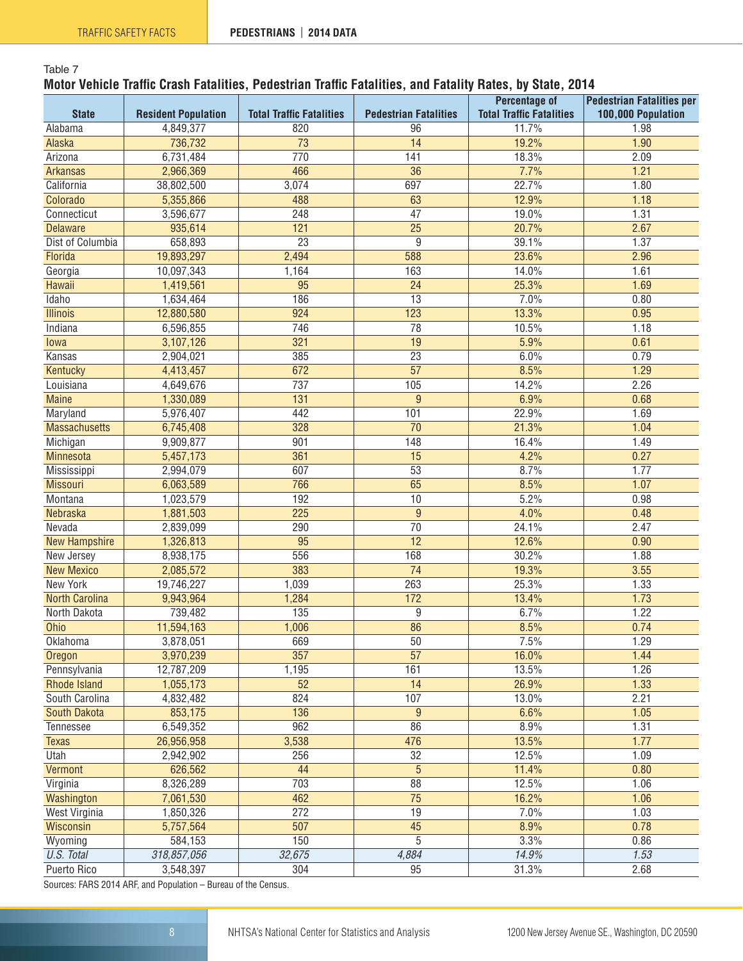#### Table 7 **Motor Vehicle Traffic Crash Fatalities, Pedestrian Traffic Fatalities, and Fatality Rates, by State, 2014**

|                       |                            |                                 |                              | <b>Percentage of</b>            | <b>Pedestrian Fatalities per</b> |
|-----------------------|----------------------------|---------------------------------|------------------------------|---------------------------------|----------------------------------|
| <b>State</b>          | <b>Resident Population</b> | <b>Total Traffic Fatalities</b> | <b>Pedestrian Fatalities</b> | <b>Total Traffic Fatalities</b> | 100,000 Population               |
| Alabama               | 4,849,377                  | 820                             | 96                           | 11.7%                           | 1.98                             |
| Alaska                | 736,732                    | $\overline{73}$                 | $\overline{14}$              | 19.2%                           | 1.90                             |
| Arizona               | 6,731,484                  | 770                             | 141                          | 18.3%                           | 2.09                             |
| <b>Arkansas</b>       | 2,966,369                  | 466                             | 36                           | 7.7%                            | 1.21                             |
| California            | 38,802,500                 | 3,074                           | 697                          | 22.7%                           | 1.80                             |
| Colorado              | 5,355,866                  | 488                             | 63                           | 12.9%                           | 1.18                             |
| Connecticut           | 3,596,677                  | 248                             | $\overline{47}$              | 19.0%                           | 1.31                             |
| <b>Delaware</b>       | 935,614                    | 121                             | $\overline{25}$              | 20.7%                           | 2.67                             |
| Dist of Columbia      | 658,893                    | $\overline{23}$                 | 9                            | 39.1%                           | 1.37                             |
| Florida               | 19,893,297                 | 2,494                           | 588                          | 23.6%                           | 2.96                             |
| Georgia               | 10,097,343                 | 1,164                           | 163                          | 14.0%                           | 1.61                             |
| Hawaii                | 1,419,561                  | 95                              | 24                           | 25.3%                           | 1.69                             |
| Idaho                 | 1,634,464                  | 186                             | $\overline{13}$              | 7.0%                            | 0.80                             |
| <b>Illinois</b>       | 12,880,580                 | 924                             | 123                          | 13.3%                           | 0.95                             |
| Indiana               | 6,596,855                  | 746                             | 78                           | 10.5%                           | 1.18                             |
| lowa                  | 3,107,126                  | 321                             | 19                           | 5.9%                            | 0.61                             |
| Kansas                | 2,904,021                  | 385                             | $\overline{23}$              | 6.0%                            | 0.79                             |
| Kentucky              | 4,413,457                  | 672                             | $\overline{57}$              | 8.5%                            | 1.29                             |
| Louisiana             | 4,649,676                  | 737                             | 105                          | 14.2%                           | 2.26                             |
| <b>Maine</b>          | 1,330,089                  | $\overline{131}$                | 9                            | 6.9%                            | 0.68                             |
| Maryland              | 5,976,407                  | 442                             | 101                          | 22.9%                           | 1.69                             |
| <b>Massachusetts</b>  | 6,745,408                  | 328                             | 70                           | 21.3%                           | 1.04                             |
| Michigan              | 9,909,877                  | 901                             | 148                          | 16.4%                           | 1.49                             |
| Minnesota             | 5,457,173                  | 361                             | $\overline{15}$              | 4.2%                            | 0.27                             |
| Mississippi           | 2,994,079                  | 607                             | 53                           | 8.7%                            | 1.77                             |
| <b>Missouri</b>       | 6,063,589                  | 766                             | 65                           | 8.5%                            | 1.07                             |
| Montana               | 1,023,579                  | 192                             | 10                           | 5.2%                            | 0.98                             |
| Nebraska              | 1,881,503                  | 225                             | 9                            | 4.0%                            | 0.48                             |
| Nevada                | 2,839,099                  | 290                             | 70                           | 24.1%                           | 2.47                             |
| <b>New Hampshire</b>  | 1,326,813                  | $\overline{95}$                 | $\overline{12}$              | 12.6%                           | 0.90                             |
| New Jersey            | 8,938,175                  | 556                             | 168                          | 30.2%                           | 1.88                             |
| <b>New Mexico</b>     | 2,085,572                  | 383                             | $\overline{74}$              | 19.3%                           | 3.55                             |
| <b>New York</b>       | 19,746,227                 | 1,039                           | 263                          | 25.3%                           | 1.33                             |
| <b>North Carolina</b> | 9,943,964                  | 1,284                           | $\frac{172}{2}$              | 13.4%                           | 1.73                             |
| North Dakota          | 739,482                    | 135                             | 9                            | 6.7%                            | 1.22                             |
| Ohio                  | 11,594,163                 | 1,006                           | 86                           | 8.5%                            | 0.74                             |
| Oklahoma              | 3,878,051                  | 669                             | 50                           | 7.5%                            | 1.29                             |
| Oregon                | 3,970,239                  | 357                             | $\overline{57}$              | 16.0%                           | 1.44                             |
| Pennsylvania          | 12,787,209                 | 1,195                           | 161                          | 13.5%                           | 1.26                             |
| <b>Rhode Island</b>   | 1,055,173                  | $\overline{52}$                 | 14                           | 26.9%                           | 1.33                             |
| South Carolina        | 4,832,482                  | 824                             | 107                          | 13.0%                           | 2.21                             |
| <b>South Dakota</b>   | 853,175                    | 136                             | 9                            | 6.6%                            | 1.05                             |
| Tennessee             | 6,549,352                  | 962                             | 86                           | 8.9%                            | 1.31                             |
| <b>Texas</b>          | 26,956,958                 | 3,538                           | 476                          | 13.5%                           | 1.77                             |
| Utah                  | 2,942,902                  | 256                             | 32                           | 12.5%                           | 1.09                             |
| Vermont               | 626,562                    | 44                              | 5                            | 11.4%                           | 0.80                             |
| Virginia              | 8,326,289                  | 703                             | 88                           | 12.5%                           | 1.06                             |
| Washington            | 7,061,530                  | 462                             | $\overline{75}$              | 16.2%                           | 1.06                             |
| <b>West Virginia</b>  | 1,850,326                  | 272                             | 19                           | 7.0%                            | 1.03                             |
| Wisconsin             | 5,757,564                  | $\overline{507}$                | 45                           | 8.9%                            | 0.78                             |
| Wyoming               | 584,153                    | 150                             | 5                            | 3.3%                            | 0.86                             |
| U.S. Total            | 318,857,056                | 32,675                          | 4,884                        | 14.9%                           | 1.53                             |
| Puerto Rico           | 3,548,397                  | 304                             | 95                           | 31.3%                           | 2.68                             |
|                       |                            |                                 |                              |                                 |                                  |

Sources: FARS 2014 ARF, and Population – Bureau of the Census.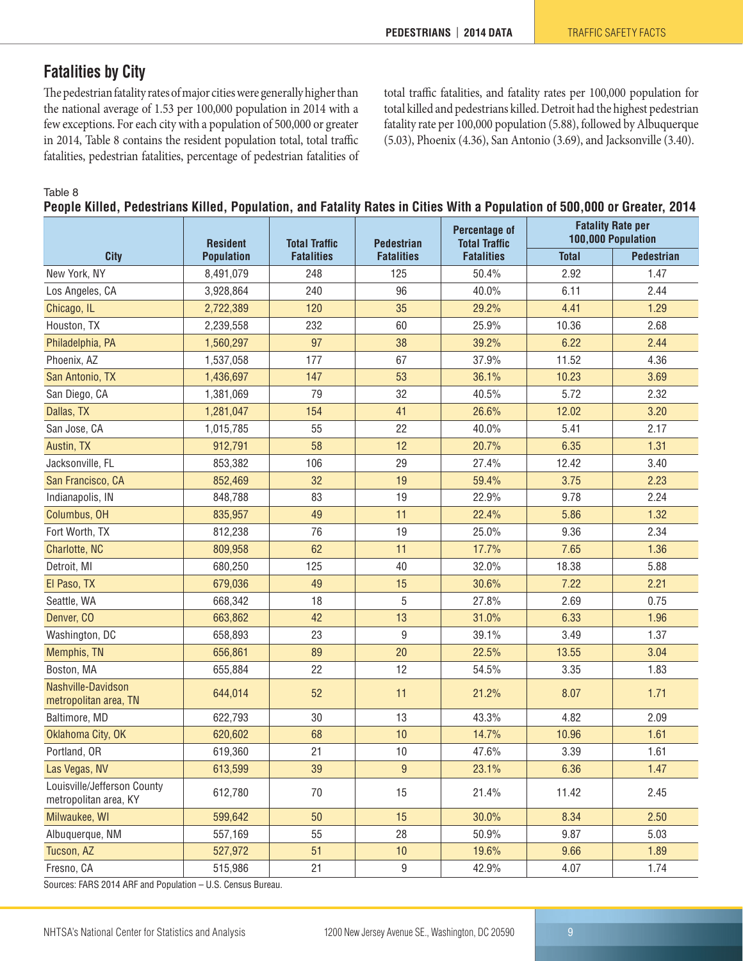## <span id="page-8-0"></span>**Fatalities by City**

The pedestrian fatality rates of major cities were generally higher than the national average of 1.53 per 100,000 population in 2014 with a few exceptions. For each city with a population of 500,000 or greater in 2014, Table 8 contains the resident population total, total traffic fatalities, pedestrian fatalities, percentage of pedestrian fatalities of total traffic fatalities, and fatality rates per 100,000 population for total killed and pedestrians killed. Detroit had the highest pedestrian fatality rate per 100,000 population (5.88), followed by Albuquerque (5.03), Phoenix (4.36), San Antonio (3.69), and Jacksonville (3.40).

Table 8

**People Killed, Pedestrians Killed, Population, and Fatality Rates in Cities With a Population of 500,000 or Greater, 2014**

|                                                      | <b>Resident</b>   | <b>Total Traffic</b> | <b>Pedestrian</b> | <b>Percentage of</b><br><b>Total Traffic</b> | <b>Fatality Rate per</b><br>100,000 Population |                   |  |
|------------------------------------------------------|-------------------|----------------------|-------------------|----------------------------------------------|------------------------------------------------|-------------------|--|
| <b>City</b>                                          | <b>Population</b> | <b>Fatalities</b>    | <b>Fatalities</b> | <b>Fatalities</b>                            | <b>Total</b>                                   | <b>Pedestrian</b> |  |
| New York, NY                                         | 8,491,079         | 248                  | 125               | 50.4%                                        | 2.92                                           | 1.47              |  |
| Los Angeles, CA                                      | 3,928,864         | 240                  | 96                | 40.0%                                        | 6.11                                           | 2.44              |  |
| Chicago, IL                                          | 2,722,389         | 120                  | 35                | 29.2%                                        | 4.41                                           | 1.29              |  |
| Houston, TX                                          | 2,239,558         | 232                  | 60                | 25.9%                                        | 10.36                                          | 2.68              |  |
| Philadelphia, PA                                     | 1,560,297         | 97                   | 38                | 39.2%                                        | 6.22                                           | 2.44              |  |
| Phoenix, AZ                                          | 1,537,058         | 177                  | 67                | 37.9%                                        | 11.52                                          | 4.36              |  |
| San Antonio, TX                                      | 1,436,697         | 147                  | 53                | 36.1%                                        | 10.23                                          | 3.69              |  |
| San Diego, CA                                        | 1,381,069         | 79                   | 32                | 40.5%                                        | 5.72                                           | 2.32              |  |
| Dallas, TX                                           | 1,281,047         | 154                  | 41                | 26.6%                                        | 12.02                                          | 3.20              |  |
| San Jose, CA                                         | 1,015,785         | 55                   | 22                | 40.0%                                        | 5.41                                           | 2.17              |  |
| Austin, TX                                           | 912,791           | 58                   | 12                | 20.7%                                        | 6.35                                           | 1.31              |  |
| Jacksonville, FL                                     | 853,382           | 106                  | 29                | 27.4%                                        | 12.42                                          | 3.40              |  |
| San Francisco, CA                                    | 852,469           | 32                   | 19                | 59.4%                                        | 3.75                                           | 2.23              |  |
| Indianapolis, IN                                     | 848,788           | 83                   | 19                | 22.9%                                        | 9.78                                           | 2.24              |  |
| Columbus, OH                                         | 835,957           | 49                   | 11                | 22.4%                                        | 5.86                                           | 1.32              |  |
| Fort Worth, TX                                       | 812,238           | 76                   | 19                | 25.0%                                        | 9.36                                           | 2.34              |  |
| Charlotte, NC                                        | 809,958           | 62                   | 11                | 17.7%                                        | 7.65                                           | 1.36              |  |
| Detroit, MI                                          | 680,250           | 125                  | 40                | 32.0%                                        | 18.38                                          | 5.88              |  |
| El Paso, TX                                          | 679,036           | 49                   | 15                | 30.6%                                        | 7.22                                           | 2.21              |  |
| Seattle, WA                                          | 668,342           | 18                   | 5                 | 27.8%                                        | 2.69                                           | 0.75              |  |
| Denver, CO                                           | 663,862           | 42                   | 13                | 31.0%                                        | 6.33                                           | 1.96              |  |
| Washington, DC                                       | 658,893           | 23                   | 9                 | 39.1%                                        | 3.49                                           | 1.37              |  |
| Memphis, TN                                          | 656,861           | 89                   | 20                | 22.5%                                        | 13.55                                          | 3.04              |  |
| Boston, MA                                           | 655,884           | 22                   | 12                | 54.5%                                        | 3.35                                           | 1.83              |  |
| Nashville-Davidson<br>metropolitan area, TN          | 644,014           | 52                   | 11                | 21.2%                                        | 8.07                                           | 1.71              |  |
| Baltimore, MD                                        | 622,793           | 30                   | 13                | 43.3%                                        | 4.82                                           | 2.09              |  |
| Oklahoma City, OK                                    | 620,602           | 68                   | 10                | 14.7%                                        | 10.96                                          | 1.61              |  |
| Portland, OR                                         | 619,360           | 21                   | 10                | 47.6%                                        | 3.39                                           | 1.61              |  |
| Las Vegas, NV                                        | 613,599           | 39                   | $\boldsymbol{9}$  | 23.1%                                        | 6.36                                           | 1.47              |  |
| Louisville/Jefferson County<br>metropolitan area, KY | 612,780           | 70                   | 15                | 21.4%                                        | 11.42                                          | 2.45              |  |
| Milwaukee, WI                                        | 599,642           | 50                   | 15                | 30.0%                                        | 8.34                                           | 2.50              |  |
| Albuquerque, NM                                      | 557,169           | 55                   | 28                | 50.9%                                        | 9.87                                           | 5.03              |  |
| Tucson, AZ                                           | 527,972           | 51                   | 10                | 19.6%                                        | 9.66                                           | 1.89              |  |
| Fresno, CA                                           | 515,986           | 21                   | 9                 | 42.9%                                        | 4.07                                           | 1.74              |  |

Sources: FARS 2014 ARF and Population – U.S. Census Bureau.